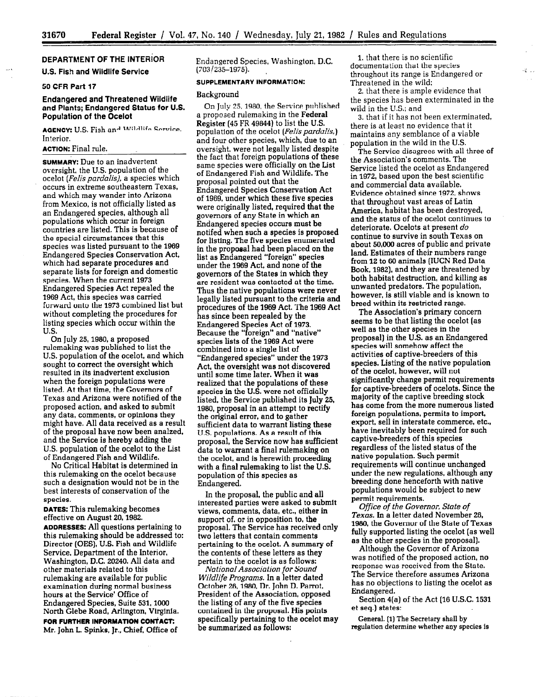# DEPARTMENT OF THE INTERiOR

### U.S. Fish and Wildlife Service

#### 50 CFR Part 17

### Endangered and Threatened Wildlife and Plants; Endangered Status for U.S. Population of the Ocelot

AGENCY: U.S. Fish and Mildlife Service. Interior.

#### ACTION: Final rule.

SUMMARY: Due to an inadvertent oversight, the U.S. population of the ocelot (*Felis pardalis*), a species which occurs in extreme southeastern Texas, and which may wander into Arizona from Mexico, is not officially listed as an Endangered species, although all populations which occur in foreign countries are listed. This is because of the special circumstances that this species was listed pursuant to the 1969 Endangered Species Conservation Act, which had separate procedures and separate lists for foreign and domestic species. When the current 1973 Endangered Species Act repealed the 1969 Act, this species was carried forward onto the 1973 combined list but without completing the procedures for listing species which occur within the U.S.

On July 25,1960, a proposed rulemaking was published to list the U.S. population of the ocelot, and which sought to correct the oversight which resulted in its inadvertent exclusion when the foreign populations were listed. At that time. the Governors of Texas and Arizona were notified of the proposed action, and asked to submit any data, comments, or opinions they might have. All data received as a result of the proposal have now been analzed, and the Service is hereby adding the U.S. population of the ocelot to the List of Endangered Fish and Wildlife.

No Critical Habitat is determined in this rulemaking on the ocelot because such a designation would not be in the best interests of conservation of the species.

DATES: This rulemaking becomes effective on August 20,1982. ADDRESSES: All questions pertaining to this rulemaking should be addressed to: Director (OES), U.S. Fish and Wildlife Service, Department of the Interior, Washington, D.C. 20240. All data and other materials related to this rulemaking are available for public examination during normal business hours at the Service' Office of Endangered Species, Suite 531.1000 North Glebe Road, Arlington, Virginia. FOR FURTHER INFORMATION CONTACT: Mr. John L Spinks, Jr., Chief, Office of

Endangered Species, Washington, D.C.  $(703/235 - 1975)$ .

#### SUPPLEMENTARY INFORMAT!ON:

#### Background

On July 25,1960, the Service published a proposed rulemaking in the Federal Register (45 FR 49844) to list the U.S. population of the ocelot (Felis pardalis,) and four other species, which, due to an oversight, were not legally listed despite the fact that foreign populations of these same species were officially on the List of Endangered Fish and Wildlife. The proposal pointed out that the Endangered Species Conservation Act of 1969, under which these five species were originally listed, required that the governors of any State in which an Endangered species occurs must be notifed when such a species is proposed for listing. The five species enumerated in the proposal had been placed on the list as Endangered "foreign" species under the 1969 Act, and none of the governors of the States in which they are resident was contacted at the time. Thus the native populations were never legally listed pursuant to the criteria and procedures of the 1969 Act. The 1969 Act has since been repealed by the Endangered Species Act of 1973. Because the "foreign" and "native" species lists of the 1969 Act were combined into a single list of "Endangered species" under the 1973 Act, the oversight was not discovered until some time later. When it was realized that the populations of these species in the U.S. were not officially listed. the Service published its July 25, 1980, proposal in an attempt to rectify the original error, and to gather sufficient data to warrant listing these U.S. populations. As a result of this proposal, the Service now has sufficient data to warrant a final rulemaking on the ocelot, and is herewith proceeding with a final rulemaking to list the U.S. population of this species as Endangered.

In the proposal, the public and all interested parties were asked to submit views, comments, data, etc., either in support of, or in opposition to, the proposal. The Service has received only two letters that contain comments pertaining to the ocelot. A summary of the contents of these letters as they pertain to the ocelot is as follows:

National Association for Sound Wildlife Programs. In a letter dated October 26,1980, Dr. John D. Parrot, President of the Association, opposed the listing of any of the five species contained in the proposal. His points specifically pertaining to the ocelot may be summarized as follows:

I. that there is no scientific documentation that the species throughout its range is Endangered or Threatened in the wild:

2. that there is ample evidence that the species has been exterminated in the wild in the U.S.; and

深山

3. that if it has not been exterminated, there is at least no evidence that it maintains any semblance of a viable population in the wild in the U.S.

The Service disagrees with all three of the Association's comments. The Service listed the ocelot as Endangered in 1972, based upon the best scientific and commercial data available. Evidence obtained since 1972, shows that throughout vast areas of Latin America, habitat has been destroyed, and the status of the ocelot continues to deteriorate. Ocelots at present do continue to survive in south Texas on about 50,000 acres of public and private land. Estimates of their numbers range from 12 to 66 animals (IUCN Red Data Book, 1982), and they are threatened by both habitat destruction, and killing as unwanted predators. The population, however, is still viable and is known to breed within its restricted range.

The Association's primary concern seems to be that listing the ocelot (as well as the other species in the proposal) in the U.S. as an Endangered species will somehow affect the activities of captive-breeders of this species. Listing of the native population of the ocelot, however, will not significantly change permit requirements for captive-breeders of ocelots. Since the majority of the captive breeding stock has come from the more numerous listed foreign populations, permits to import, export, sell in interstate commerce, etc., have inevitably been required for such captive-breeders of this species regardless of the listed status of the native population. Such permit requirements will continue unchanged under the new regulations. although any breeding done henceforth with native populations would be subject to new permit requirements.

Office of the Governor, State of Texas. In a letter dated November 26, 1980, the Governor of the State of Texas fully supported listing the ocelot (as well as the other species in the proposal].

Although the Governor of Arizona was notified of the proposed action, no response was received from the State. The Service therefore assumes Arizona has no objections to listing the ocelot as Endangered.

Section 4(a) of the Act (16 U.S.C. 1531 et seq.) states:

General. (1) The Secretary shall by regulation determine whether any species is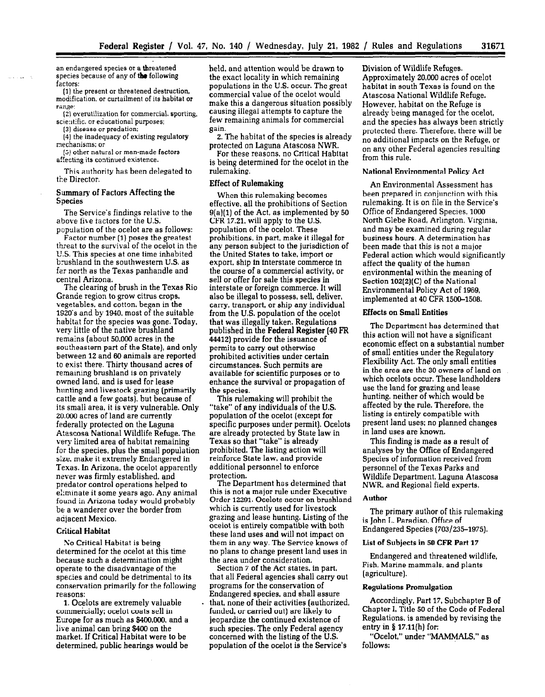an endangered species or a threatened species because of any of the following factors:

(I) the present or threatened destruction, modification. or curtailment of its habitat or range:

(21 overutilization for commercial. sporting, scientific. or educational purposes;

(3) disease or predation;

service was

(4) the inadequacy of existing regulatory mechanisms; or

(5) other natural or man-made factors affecting its continued existence.

This authority has been delegated to the Director.

#### Summary of Factors Affecting the Species

The Service's findings relative to the above five factors for the U.S. population of the ocelot are as follows:

Factor number [I) poses the greatest threat to the survival of the ocelot in the U.S. This species at one time inhabited brushland in the southwestern U.S. as fer north as the Texas panhandle and central Arizona. ntral Arizona.<br>The clearing of brush in the Texas Rio

The clearing of brush in the Texas Grande region to grow citrus crops. vegetables, and cotton, began in the<br>1920's and by 1940, most of the suitable  $\frac{1820 \text{ s}}{2}$  and by 1940, most of the suitable. nabitat for the species was gone. very little of the native brushland remains (about 50,000 acres in the southeastern part of the State), and only between 12 and 60 animals are reported to exist there. Thirty thousand acres of remaining brushland is on privately owned land, and is used for lease hunting and livestock grazing (primarily cattle and a few goats), but because of its small area, it is very vulnerable. Only 20,000 acres of land are currently federally protected on the Laguna Atascosa National Wildlife Refuge. The very limited area of habitat remaining for the species, plus the small population size, make it extremely Endangered in Texas. In Arizona, the ocelot apparently never was firmly established, and predator control operations helped to eliminate it some years ago. Any animal found in Arizona today would probably be a wanderer over the border from adjacent Mexico.

#### **Critical Habitat**

No Critical Habitat is being determined for the ocelot at this time because such a determination might operate to the disadvantage of the species and could be detrimental to its conservation primarily for the following reasons:

1. Ocelots are extremely valuable commercially; ocelot coats sell in Europe for as much as \$400,000, and a live animal can bring \$400 on the market. If Critical Habitat were to be determined, public hearings would be held, and attention would be drawn to the exact locality in which remaining populations in the U.S. occur. The great commercial value of the ocelot would make this a dangerous situation possibly causing illegal attempts to capture the few remaining animals for commercial gain.

2. The habitat of the species is already protected on Laguna Atascosa NWR.

For these reasons, no Critical Habitat is being determined for the ocelot in the rulemaking.

## Effect of Rulemaking

When this rulemaking becomes effective, all the prohibitions of Section  $9(a)(1)$  of the Act, as implemented by 50 CFR 17.21, will apply to the U.S. population of the ocelot. These prohibitions, in part, make it illegal for any person subject to the jurisdiction of the United States to take, import or export, ship in interstate commerce in the course of a commercial activity, or sell or offer for sale this species in interstate or foreign commerce. It will also be illegal to possess, sell, deliver, also be megal to possess, sen, denver, carry, transport, or ship any individual from the U.S. population of the ocelot that was illegally taken. Regulations published in the Federal Register (40 FR 44412) provide for the issuance of permits to carry out otherwise prohibited activities under certain circumstances. Such permits are available for scientific purposes or to enhance the survival or propagation of the species.

This rulemaking will prohibit the "take" of any individuals of the U.S. population of the ocelot (except for specific purposes under permit). Ocelots are already protected by State law in Texas so that "take" is already prohibited. The listing action will reinforce State law, and provide additional personnel to enforce protection.

The Department has determined that this is not a major rule under Executive Order 12291. Ocelots occur on brushland which is currently used for livestock grazing and lease hunting. Listing of the ocelot is entirely compatible with both these land uses and will not impact on them in any way. The Service knows of no plans to change present land uses in the area under consideration.

Section 7 of the Act states, in part, that all Federal agencies shall carry out programs for the conservation of Endangered species, and shall assure that, none of their activities (authorized, funded, or carried out) are likely to jeopardize the continued existence of such species. The only Federal agency concerned with the listing of the U.S. population of the ocelot is the Service's

Division of Wildlife Refuges. Approximately 20,000 acres of ocelot habitat in south Texas is found on the Atascosa National Wildlife Refuge. However, habitat on the Refuge is already being managed for the ocelot, and the species has always been strictly protected there. Therefore, there will be no additional impacts on the Refuge, or on any other Federal agencies resulting from this rule.

#### National Environmental Policy Act

An Environmental Assessment has been prepared in conjunction with this rulemaking. It is on file in the Service's Office of Endangered Species, 1000 North Glebe Road, Arlington, Virginia, and may be examined during regular business hours. A determination has been made that this is not a major Federal action which would significantly affect the quality of the human environmental within the meaning of Section 102(2)(C) of the National Section 102(2)(C) of the National<br>Environmental Policy Act of 1969, implemented at 40 CFR 1500-1508.

#### Effects on Small Entities

The Department has determined that the Department has determined th this action will not have a significant economic effect on a substantial number of small entities under the Regulatory Flexibility Act. The only small entities in the area are the 30 owners of land on which ocelots occur. These landholders use the land for grazing and lease hunting. neither of which would be affected by the rule. Therefore, the listing is entirely compatible with present land uses; no planned changes in land uses are known.

This finding is made as a result of analyses by the Office of Endangered Species of information received from personnel of the Texas Parks and Wildlife Department, Laguna Atascosa NWR, and Regional field experts.

# $T_{\rm H}$  and  $T_{\rm H}$  author of this rule mass  $T_{\rm H}$  rule  $T_{\rm H}$  and  $T_{\rm H}$  and  $T_{\rm H}$  and  $T_{\rm H}$  and  $T_{\rm H}$  and  $T_{\rm H}$  and  $T_{\rm H}$  and  $T_{\rm H}$  and  $T_{\rm H}$  and  $T_{\rm H}$  and  $T_{\rm H}$  and  $T_{\rm H}$  and  $T_{\$

The primary author of this rulemaking is John L. Paradiso, Office of Endangered Species  $(703/235-1975)$ .

#### List of Subjects in 50 CFR Part 17

Endangered and threatened wildlife, Fish, Marine mammals, and plants (agriculture).

#### **Regulations Promulgation**

Accordingly, Part 17, Subchapter B of Chapter I, Title 50 of the Code of Federal Regulations, is amended by revising the entry in  $\S$  17.11(h) for:

"Ocelot," under "MAMMALS," as follows: